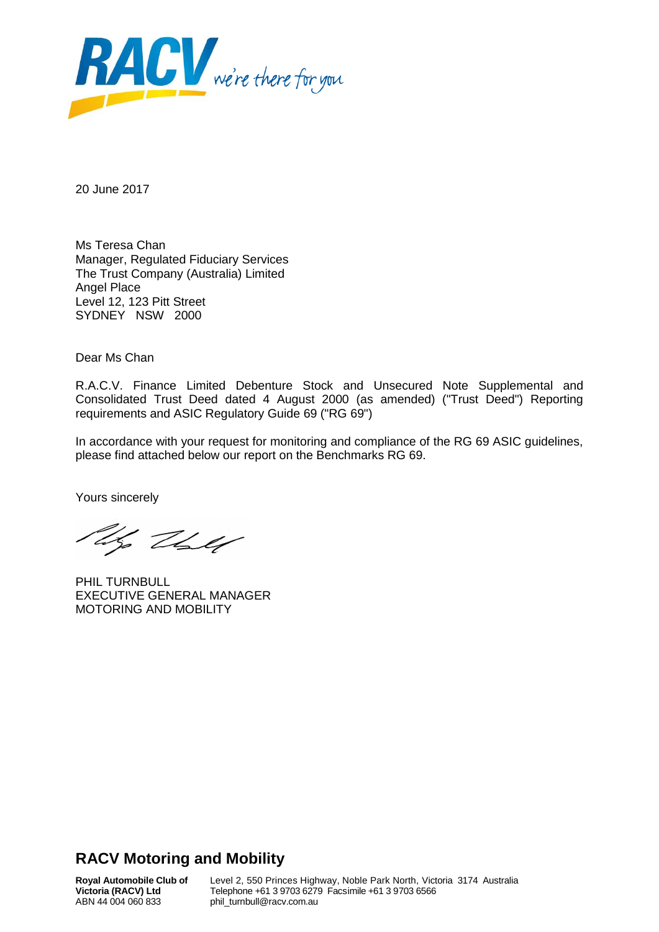

20 June 2017

Ms Teresa Chan Manager, Regulated Fiduciary Services The Trust Company (Australia) Limited Angel Place Level 12, 123 Pitt Street SYDNEY NSW 2000

Dear Ms Chan

R.A.C.V. Finance Limited Debenture Stock and Unsecured Note Supplemental and Consolidated Trust Deed dated 4 August 2000 (as amended) ("Trust Deed") Reporting requirements and ASIC Regulatory Guide 69 ("RG 69")

In accordance with your request for monitoring and compliance of the RG 69 ASIC guidelines, please find attached below our report on the Benchmarks RG 69.

Yours sincerely

Ug They

PHIL TURNBULL EXECUTIVE GENERAL MANAGER MOTORING AND MOBILITY

# **RACV Motoring and Mobility**

**Royal Automobile Club of Victoria (RACV) Ltd** ABN 44 004 060 833

Level 2, 550 Princes Highway, Noble Park North, Victoria 3174 Australia Telephone +61 3 9703 6279 Facsimile +61 3 9703 6566 phil\_turnbull@racv.com.au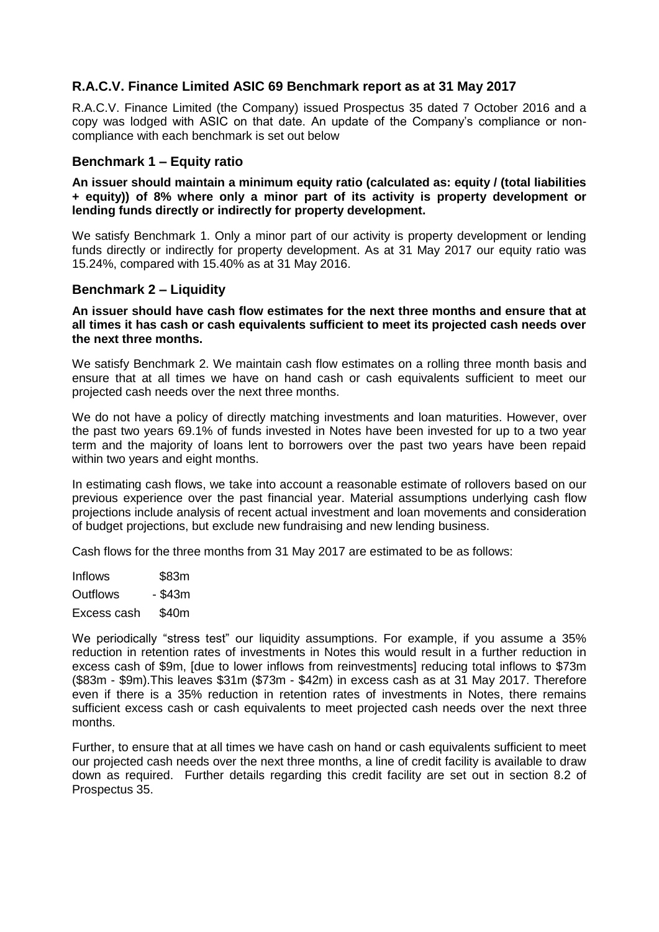## **R.A.C.V. Finance Limited ASIC 69 Benchmark report as at 31 May 2017**

R.A.C.V. Finance Limited (the Company) issued Prospectus 35 dated 7 October 2016 and a copy was lodged with ASIC on that date. An update of the Company's compliance or noncompliance with each benchmark is set out below

## **Benchmark 1 – Equity ratio**

**An issuer should maintain a minimum equity ratio (calculated as: equity / (total liabilities + equity)) of 8% where only a minor part of its activity is property development or lending funds directly or indirectly for property development.**

We satisfy Benchmark 1. Only a minor part of our activity is property development or lending funds directly or indirectly for property development. As at 31 May 2017 our equity ratio was 15.24%, compared with 15.40% as at 31 May 2016.

## **Benchmark 2 – Liquidity**

**An issuer should have cash flow estimates for the next three months and ensure that at all times it has cash or cash equivalents sufficient to meet its projected cash needs over the next three months.** 

We satisfy Benchmark 2. We maintain cash flow estimates on a rolling three month basis and ensure that at all times we have on hand cash or cash equivalents sufficient to meet our projected cash needs over the next three months.

We do not have a policy of directly matching investments and loan maturities. However, over the past two years 69.1% of funds invested in Notes have been invested for up to a two year term and the majority of loans lent to borrowers over the past two years have been repaid within two years and eight months.

In estimating cash flows, we take into account a reasonable estimate of rollovers based on our previous experience over the past financial year. Material assumptions underlying cash flow projections include analysis of recent actual investment and loan movements and consideration of budget projections, but exclude new fundraising and new lending business.

Cash flows for the three months from 31 May 2017 are estimated to be as follows:

Inflows \$83m Outflows - \$43m Excess cash \$40m

We periodically "stress test" our liquidity assumptions. For example, if you assume a 35% reduction in retention rates of investments in Notes this would result in a further reduction in excess cash of \$9m, [due to lower inflows from reinvestments] reducing total inflows to \$73m (\$83m - \$9m).This leaves \$31m (\$73m - \$42m) in excess cash as at 31 May 2017. Therefore even if there is a 35% reduction in retention rates of investments in Notes, there remains sufficient excess cash or cash equivalents to meet projected cash needs over the next three months.

Further, to ensure that at all times we have cash on hand or cash equivalents sufficient to meet our projected cash needs over the next three months, a line of credit facility is available to draw down as required. Further details regarding this credit facility are set out in section 8.2 of Prospectus 35.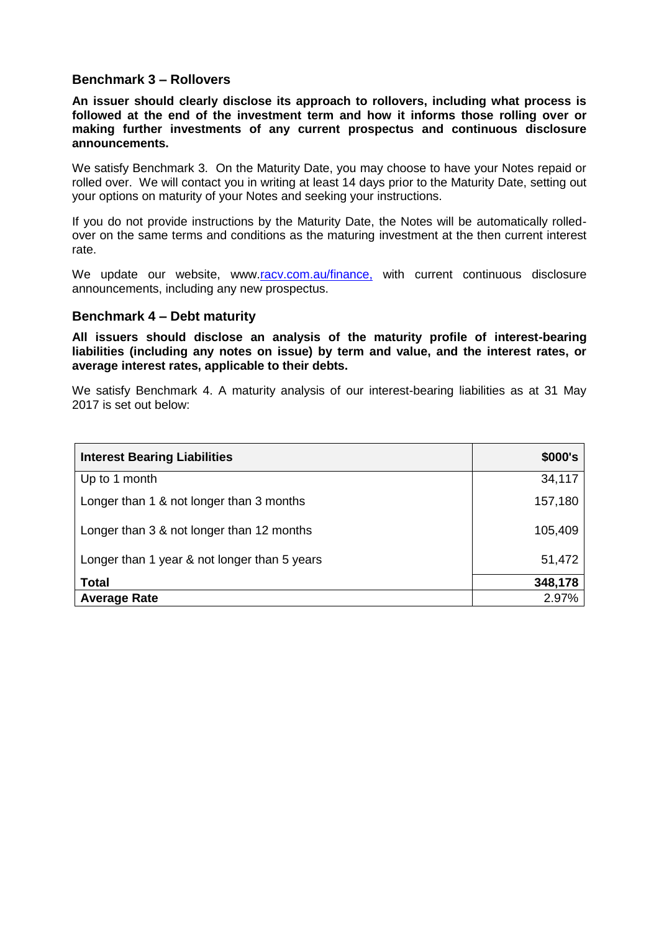## **Benchmark 3 – Rollovers**

**An issuer should clearly disclose its approach to rollovers, including what process is followed at the end of the investment term and how it informs those rolling over or making further investments of any current prospectus and continuous disclosure announcements.**

We satisfy Benchmark 3. On the Maturity Date, you may choose to have your Notes repaid or rolled over. We will contact you in writing at least 14 days prior to the Maturity Date, setting out your options on maturity of your Notes and seeking your instructions.

If you do not provide instructions by the Maturity Date, the Notes will be automatically rolledover on the same terms and conditions as the maturing investment at the then current interest rate.

We update our website, www[.racv.com.au/finance,](http://www.racv.com.au/finance) with current continuous disclosure announcements, including any new prospectus.

## **Benchmark 4 – Debt maturity**

**All issuers should disclose an analysis of the maturity profile of interest-bearing liabilities (including any notes on issue) by term and value, and the interest rates, or average interest rates, applicable to their debts.** 

We satisfy Benchmark 4. A maturity analysis of our interest-bearing liabilities as at 31 May 2017 is set out below:

| <b>Interest Bearing Liabilities</b>          | \$000's |
|----------------------------------------------|---------|
| Up to 1 month                                | 34,117  |
| Longer than 1 & not longer than 3 months     | 157,180 |
| Longer than 3 & not longer than 12 months    | 105,409 |
| Longer than 1 year & not longer than 5 years | 51,472  |
| <b>Total</b>                                 | 348,178 |
| <b>Average Rate</b>                          | 2.97%   |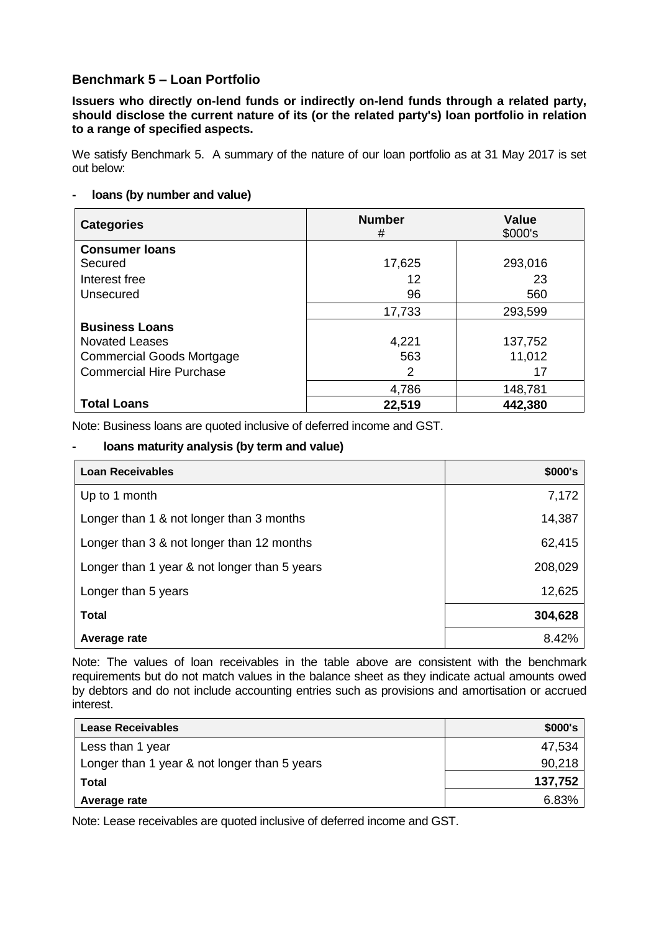## **Benchmark 5 – Loan Portfolio**

**Issuers who directly on-lend funds or indirectly on-lend funds through a related party, should disclose the current nature of its (or the related party's) loan portfolio in relation to a range of specified aspects.**

We satisfy Benchmark 5. A summary of the nature of our loan portfolio as at 31 May 2017 is set out below:

## **- loans (by number and value)**

| <b>Categories</b>                | <b>Number</b><br># | Value<br>\$000's |
|----------------------------------|--------------------|------------------|
| <b>Consumer loans</b>            |                    |                  |
| Secured                          | 17,625             | 293,016          |
| Interest free                    | 12                 | 23               |
| Unsecured                        | 96                 | 560              |
|                                  | 17,733             | 293,599          |
| <b>Business Loans</b>            |                    |                  |
| <b>Novated Leases</b>            | 4,221              | 137,752          |
| <b>Commercial Goods Mortgage</b> | 563                | 11,012           |
| <b>Commercial Hire Purchase</b>  | 2                  | 17               |
|                                  | 4,786              | 148,781          |
| <b>Total Loans</b>               | 22,519             | 442,380          |

Note: Business loans are quoted inclusive of deferred income and GST.

## **- loans maturity analysis (by term and value)**

| <b>Loan Receivables</b>                      | \$000's |
|----------------------------------------------|---------|
| Up to 1 month                                | 7,172   |
| Longer than 1 & not longer than 3 months     | 14,387  |
| Longer than 3 & not longer than 12 months    | 62,415  |
| Longer than 1 year & not longer than 5 years | 208,029 |
| Longer than 5 years                          | 12,625  |
| <b>Total</b>                                 | 304,628 |
| Average rate                                 | 8.42%   |

Note: The values of loan receivables in the table above are consistent with the benchmark requirements but do not match values in the balance sheet as they indicate actual amounts owed by debtors and do not include accounting entries such as provisions and amortisation or accrued interest.

| <b>Lease Receivables</b>                     | \$000's |
|----------------------------------------------|---------|
| Less than 1 year                             | 47,534  |
| Longer than 1 year & not longer than 5 years | 90,218  |
| <b>Total</b>                                 | 137,752 |
| Average rate                                 | 6.83%   |

Note: Lease receivables are quoted inclusive of deferred income and GST.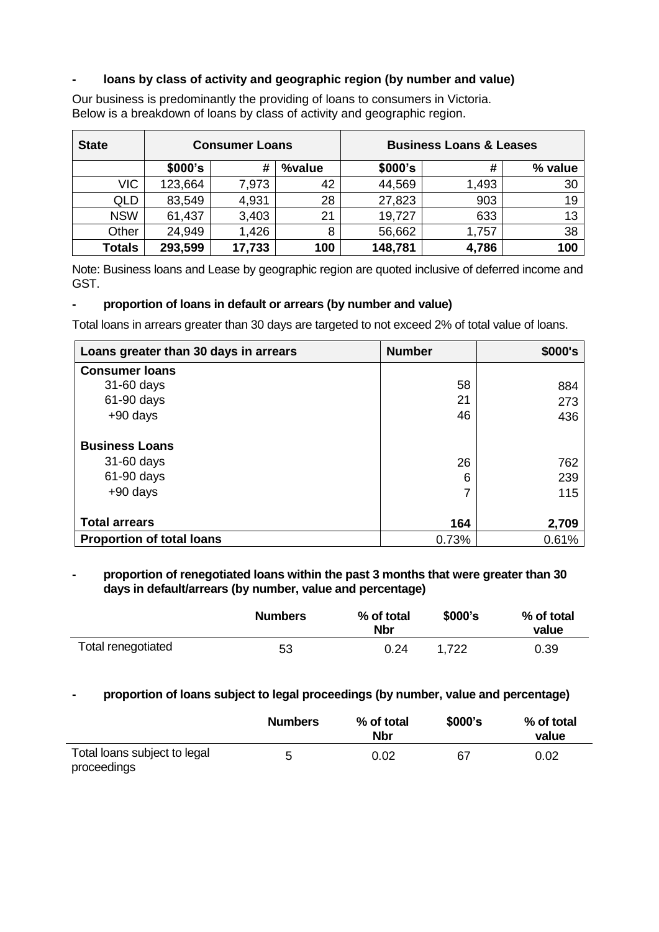## **- loans by class of activity and geographic region (by number and value)**

| <b>State</b>  | <b>Consumer Loans</b> |        |        | <b>Business Loans &amp; Leases</b> |       |         |
|---------------|-----------------------|--------|--------|------------------------------------|-------|---------|
|               | \$000's               | #      | %value | \$000's                            | #     | % value |
| VIC           | 123,664               | 7,973  | 42     | 44,569                             | 1,493 | 30      |
| <b>QLD</b>    | 83,549                | 4,931  | 28     | 27,823                             | 903   | 19      |
| <b>NSW</b>    | 61,437                | 3,403  | 21     | 19,727                             | 633   | 13      |
| Other         | 24,949                | 1,426  | 8      | 56,662                             | 1,757 | 38      |
| <b>Totals</b> | 293,599               | 17,733 | 100    | 148,781                            | 4,786 | 100     |

Our business is predominantly the providing of loans to consumers in Victoria. Below is a breakdown of loans by class of activity and geographic region.

Note: Business loans and Lease by geographic region are quoted inclusive of deferred income and GST.

## **- proportion of loans in default or arrears (by number and value)**

Total loans in arrears greater than 30 days are targeted to not exceed 2% of total value of loans.

| Loans greater than 30 days in arrears | <b>Number</b> | \$000's |
|---------------------------------------|---------------|---------|
| <b>Consumer loans</b>                 |               |         |
| 31-60 days                            | 58            | 884     |
| 61-90 days                            | 21            | 273     |
| $+90$ days                            | 46            | 436     |
| <b>Business Loans</b>                 |               |         |
| 31-60 days                            | 26            | 762     |
| 61-90 days                            | 6             | 239     |
| $+90$ days                            | 7             | 115     |
| <b>Total arrears</b>                  | 164           | 2,709   |
| <b>Proportion of total loans</b>      | 0.73%         | 0.61%   |

#### **- proportion of renegotiated loans within the past 3 months that were greater than 30 days in default/arrears (by number, value and percentage)**

|                    | <b>Numbers</b> | % of total<br><b>Nbr</b> | \$000's | % of total<br>value |
|--------------------|----------------|--------------------------|---------|---------------------|
| Total renegotiated | 53             | 0.24                     | 1,722   | 0.39                |

## **- proportion of loans subject to legal proceedings (by number, value and percentage)**

|                                             | <b>Numbers</b> | % of total<br><b>Nbr</b> | \$000's | % of total<br>value |
|---------------------------------------------|----------------|--------------------------|---------|---------------------|
| Total loans subject to legal<br>proceedings | 5              | 0.02                     | 67      | 0.02                |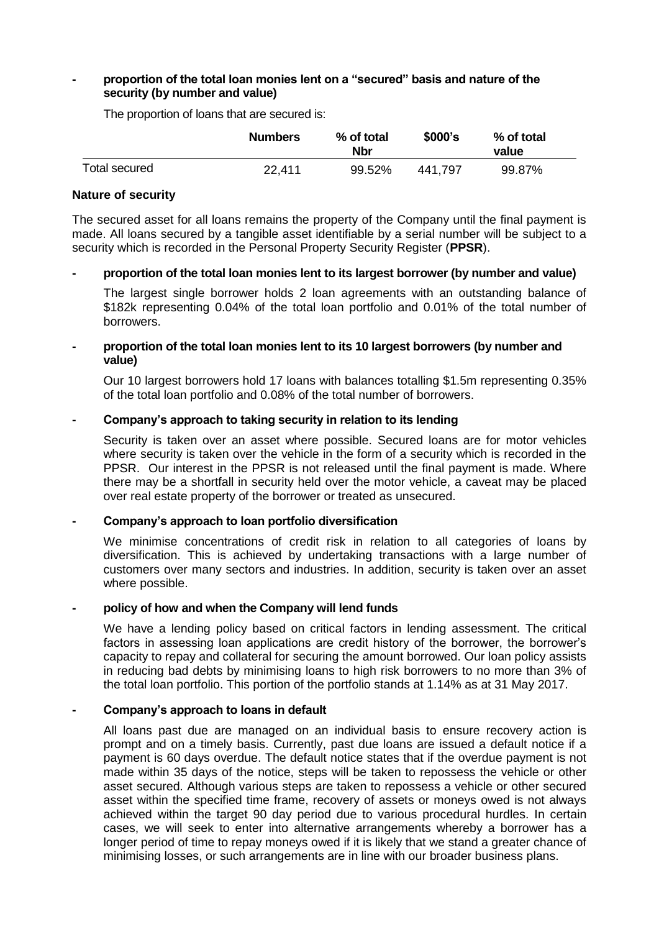#### **- proportion of the total loan monies lent on a "secured" basis and nature of the security (by number and value)**

The proportion of loans that are secured is:

|               | <b>Numbers</b> | % of total<br>Nbr | \$000's | % of total<br>value |  |
|---------------|----------------|-------------------|---------|---------------------|--|
| Total secured | 22.411         | 99.52%            | 441.797 | 99.87%              |  |

#### **Nature of security**

The secured asset for all loans remains the property of the Company until the final payment is made. All loans secured by a tangible asset identifiable by a serial number will be subject to a security which is recorded in the Personal Property Security Register (**PPSR**).

#### **- proportion of the total loan monies lent to its largest borrower (by number and value)**

The largest single borrower holds 2 loan agreements with an outstanding balance of \$182k representing 0.04% of the total loan portfolio and 0.01% of the total number of borrowers.

#### **- proportion of the total loan monies lent to its 10 largest borrowers (by number and value)**

Our 10 largest borrowers hold 17 loans with balances totalling \$1.5m representing 0.35% of the total loan portfolio and 0.08% of the total number of borrowers.

#### **- Company's approach to taking security in relation to its lending**

Security is taken over an asset where possible. Secured loans are for motor vehicles where security is taken over the vehicle in the form of a security which is recorded in the PPSR. Our interest in the PPSR is not released until the final payment is made. Where there may be a shortfall in security held over the motor vehicle, a caveat may be placed over real estate property of the borrower or treated as unsecured.

#### **- Company's approach to loan portfolio diversification**

We minimise concentrations of credit risk in relation to all categories of loans by diversification. This is achieved by undertaking transactions with a large number of customers over many sectors and industries. In addition, security is taken over an asset where possible.

## **- policy of how and when the Company will lend funds**

We have a lending policy based on critical factors in lending assessment. The critical factors in assessing loan applications are credit history of the borrower, the borrower's capacity to repay and collateral for securing the amount borrowed. Our loan policy assists in reducing bad debts by minimising loans to high risk borrowers to no more than 3% of the total loan portfolio. This portion of the portfolio stands at 1.14% as at 31 May 2017.

#### **- Company's approach to loans in default**

All loans past due are managed on an individual basis to ensure recovery action is prompt and on a timely basis. Currently, past due loans are issued a default notice if a payment is 60 days overdue. The default notice states that if the overdue payment is not made within 35 days of the notice, steps will be taken to repossess the vehicle or other asset secured. Although various steps are taken to repossess a vehicle or other secured asset within the specified time frame, recovery of assets or moneys owed is not always achieved within the target 90 day period due to various procedural hurdles. In certain cases, we will seek to enter into alternative arrangements whereby a borrower has a longer period of time to repay moneys owed if it is likely that we stand a greater chance of minimising losses, or such arrangements are in line with our broader business plans.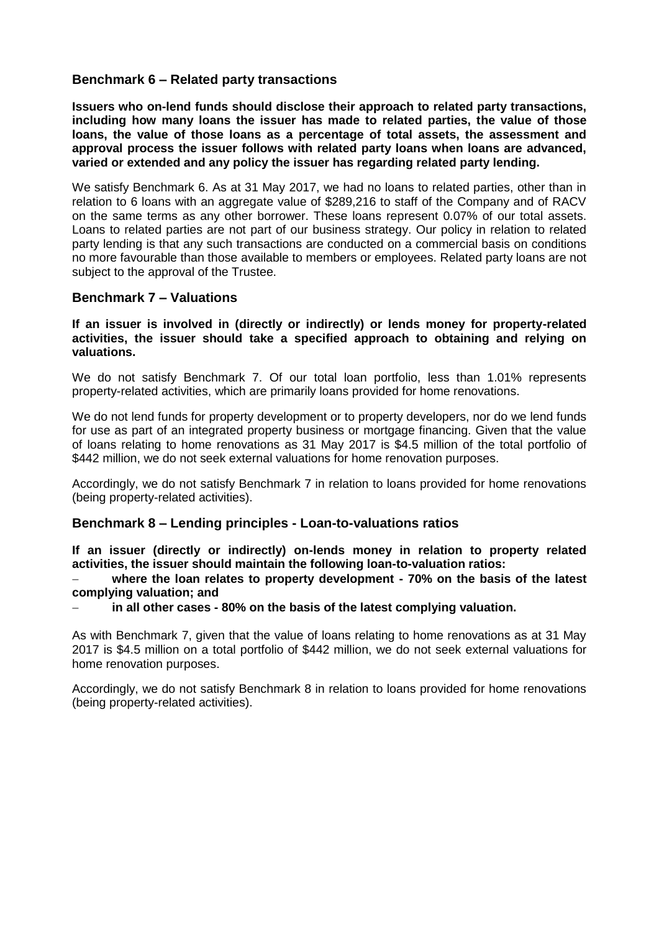## **Benchmark 6 – Related party transactions**

**Issuers who on-lend funds should disclose their approach to related party transactions, including how many loans the issuer has made to related parties, the value of those loans, the value of those loans as a percentage of total assets, the assessment and approval process the issuer follows with related party loans when loans are advanced, varied or extended and any policy the issuer has regarding related party lending.** 

We satisfy Benchmark 6. As at 31 May 2017, we had no loans to related parties, other than in relation to 6 loans with an aggregate value of \$289,216 to staff of the Company and of RACV on the same terms as any other borrower. These loans represent 0.07% of our total assets. Loans to related parties are not part of our business strategy. Our policy in relation to related party lending is that any such transactions are conducted on a commercial basis on conditions no more favourable than those available to members or employees. Related party loans are not subject to the approval of the Trustee.

## **Benchmark 7 – Valuations**

#### **If an issuer is involved in (directly or indirectly) or lends money for property-related activities, the issuer should take a specified approach to obtaining and relying on valuations.**

We do not satisfy Benchmark 7. Of our total loan portfolio, less than 1.01% represents property-related activities, which are primarily loans provided for home renovations.

We do not lend funds for property development or to property developers, nor do we lend funds for use as part of an integrated property business or mortgage financing. Given that the value of loans relating to home renovations as 31 May 2017 is \$4.5 million of the total portfolio of \$442 million, we do not seek external valuations for home renovation purposes.

Accordingly, we do not satisfy Benchmark 7 in relation to loans provided for home renovations (being property-related activities).

## **Benchmark 8 – Lending principles - Loan-to-valuations ratios**

**If an issuer (directly or indirectly) on-lends money in relation to property related activities, the issuer should maintain the following loan-to-valuation ratios:**

 **where the loan relates to property development - 70% on the basis of the latest complying valuation; and** 

**in all other cases - 80% on the basis of the latest complying valuation.** 

As with Benchmark 7, given that the value of loans relating to home renovations as at 31 May 2017 is \$4.5 million on a total portfolio of \$442 million, we do not seek external valuations for home renovation purposes.

Accordingly, we do not satisfy Benchmark 8 in relation to loans provided for home renovations (being property-related activities).